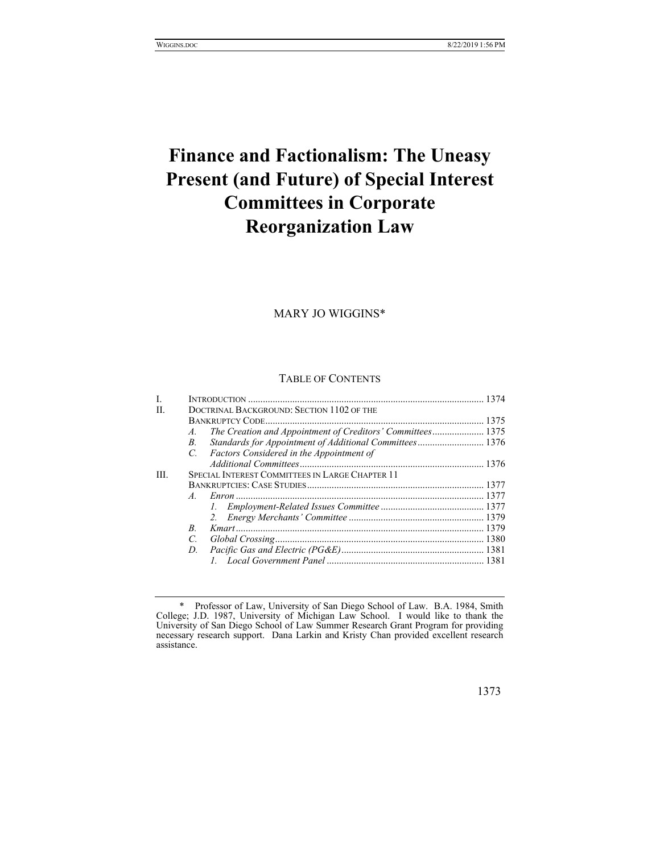# **Finance and Factionalism: The Uneasy Present (and Future) of Special Interest Committees in Corporate Reorganization Law**

MARY JO WIGGINS\*

#### TABLE OF CONTENTS

| L    |                                                 |                                                            |  |
|------|-------------------------------------------------|------------------------------------------------------------|--|
| H.   |                                                 | DOCTRINAL BACKGROUND: SECTION 1102 OF THE                  |  |
|      |                                                 |                                                            |  |
|      | $A_{-}$                                         | The Creation and Appointment of Creditors' Committees 1375 |  |
|      | $B_{\cdot}$                                     | Standards for Appointment of Additional Committees 1376    |  |
|      | $\mathcal{C}$                                   | Factors Considered in the Appointment of                   |  |
|      |                                                 |                                                            |  |
| III. | SPECIAL INTEREST COMMITTEES IN LARGE CHAPTER 11 |                                                            |  |
|      |                                                 |                                                            |  |
|      | $\overline{A}$                                  |                                                            |  |
|      |                                                 |                                                            |  |
|      |                                                 |                                                            |  |
|      | <sub>R</sub>                                    |                                                            |  |
|      | $\overline{C}$                                  |                                                            |  |
|      | D.                                              |                                                            |  |
|      |                                                 |                                                            |  |
|      |                                                 |                                                            |  |

 <sup>\*</sup> Professor of Law, University of San Diego School of Law. B.A. 1984, Smith College; J.D. 1987, University of Michigan Law School. I would like to thank the University of San Diego School of Law Summer Research Grant Program for providing necessary research support. Dana Larkin and Kristy Chan provided excellent research assistance.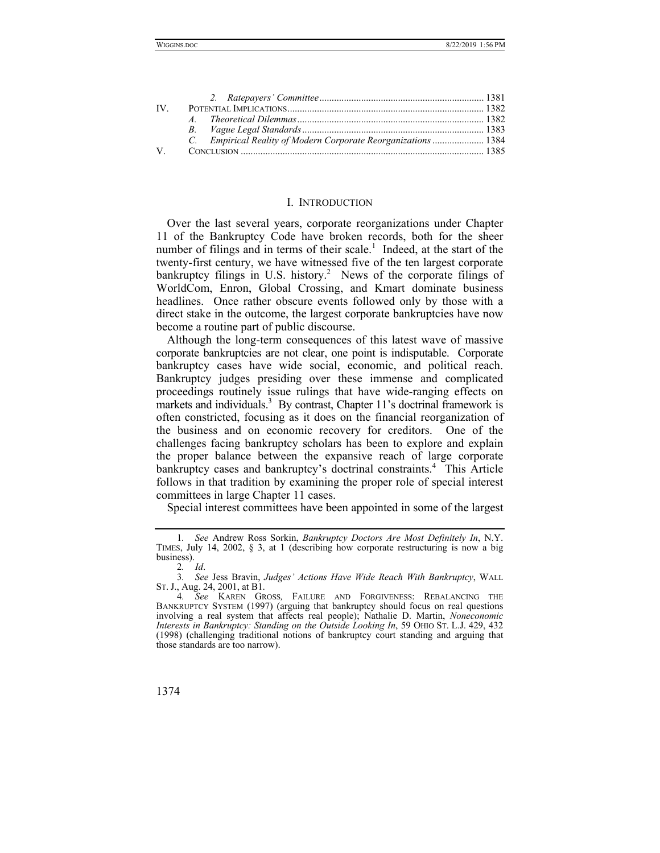| IV.                         |                                                                |  |
|-----------------------------|----------------------------------------------------------------|--|
|                             |                                                                |  |
|                             |                                                                |  |
|                             | C. Empirical Reality of Modern Corporate Reorganizations  1384 |  |
| $V_{\rm c}$ and $V_{\rm c}$ |                                                                |  |

#### I. INTRODUCTION

Over the last several years, corporate reorganizations under Chapter 11 of the Bankruptcy Code have broken records, both for the sheer number of filings and in terms of their scale.<sup>1</sup> Indeed, at the start of the twenty-first century, we have witnessed five of the ten largest corporate bankruptcy filings in U.S. history.<sup>2</sup> News of the corporate filings of WorldCom, Enron, Global Crossing, and Kmart dominate business headlines. Once rather obscure events followed only by those with a direct stake in the outcome, the largest corporate bankruptcies have now become a routine part of public discourse.

Although the long-term consequences of this latest wave of massive corporate bankruptcies are not clear, one point is indisputable. Corporate bankruptcy cases have wide social, economic, and political reach. Bankruptcy judges presiding over these immense and complicated proceedings routinely issue rulings that have wide-ranging effects on markets and individuals.<sup>3</sup> By contrast, Chapter 11's doctrinal framework is often constricted, focusing as it does on the financial reorganization of the business and on economic recovery for creditors. One of the challenges facing bankruptcy scholars has been to explore and explain the proper balance between the expansive reach of large corporate bankruptcy cases and bankruptcy's doctrinal constraints.4 This Article follows in that tradition by examining the proper role of special interest committees in large Chapter 11 cases.

Special interest committees have been appointed in some of the largest

<sup>1</sup>*. See* Andrew Ross Sorkin, *Bankruptcy Doctors Are Most Definitely In*, N.Y. TIMES, July 14, 2002, § 3, at 1 (describing how corporate restructuring is now a big business).

<sup>2</sup>*. Id*.

<sup>3</sup>*. See* Jess Bravin, *Judges' Actions Have Wide Reach With Bankruptcy*, WALL ST. J., Aug. 24, 2001, at B1.

<sup>4</sup>*. See* KAREN GROSS*,* FAILURE AND FORGIVENESS: REBALANCING THE BANKRUPTCY SYSTEM (1997) (arguing that bankruptcy should focus on real questions involving a real system that affects real people); Nathalie D. Martin, *Noneconomic Interests in Bankruptcy: Standing on the Outside Looking In*, 59 OHIO ST. L.J. 429, 432 (1998) (challenging traditional notions of bankruptcy court standing and arguing that those standards are too narrow).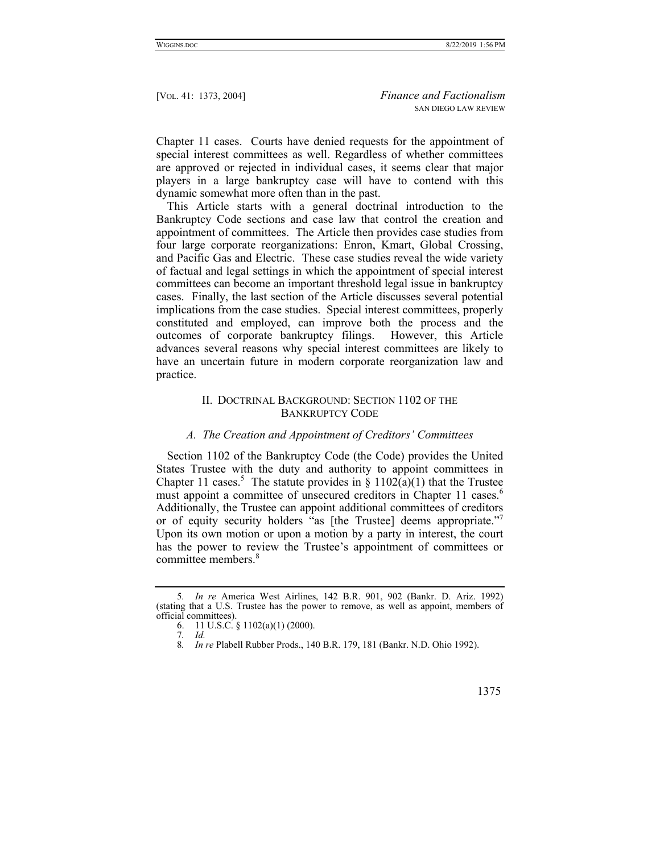Chapter 11 cases. Courts have denied requests for the appointment of special interest committees as well. Regardless of whether committees are approved or rejected in individual cases, it seems clear that major players in a large bankruptcy case will have to contend with this dynamic somewhat more often than in the past.

This Article starts with a general doctrinal introduction to the Bankruptcy Code sections and case law that control the creation and appointment of committees. The Article then provides case studies from four large corporate reorganizations: Enron, Kmart, Global Crossing, and Pacific Gas and Electric. These case studies reveal the wide variety of factual and legal settings in which the appointment of special interest committees can become an important threshold legal issue in bankruptcy cases. Finally, the last section of the Article discusses several potential implications from the case studies. Special interest committees, properly constituted and employed, can improve both the process and the outcomes of corporate bankruptcy filings. However, this Article advances several reasons why special interest committees are likely to have an uncertain future in modern corporate reorganization law and practice.

# II. DOCTRINAL BACKGROUND: SECTION 1102 OF THE BANKRUPTCY CODE

#### *A. The Creation and Appointment of Creditors' Committees*

Section 1102 of the Bankruptcy Code (the Code) provides the United States Trustee with the duty and authority to appoint committees in Chapter 11 cases.<sup>5</sup> The statute provides in § 1102( $\hat{a}$ )(1) that the Trustee must appoint a committee of unsecured creditors in Chapter 11 cases.<sup>6</sup> Additionally, the Trustee can appoint additional committees of creditors or of equity security holders "as [the Trustee] deems appropriate." Upon its own motion or upon a motion by a party in interest, the court has the power to review the Trustee's appointment of committees or committee members.<sup>8</sup>

<sup>5</sup>*. In re* America West Airlines, 142 B.R. 901, 902 (Bankr. D. Ariz. 1992) (stating that a U.S. Trustee has the power to remove, as well as appoint, members of official committees).

 <sup>6. 11</sup> U.S.C. § 1102(a)(1) (2000).

<sup>7</sup>*. Id.*

<sup>8</sup>*. In re* Plabell Rubber Prods., 140 B.R. 179, 181 (Bankr. N.D. Ohio 1992).

 <sup>1375</sup>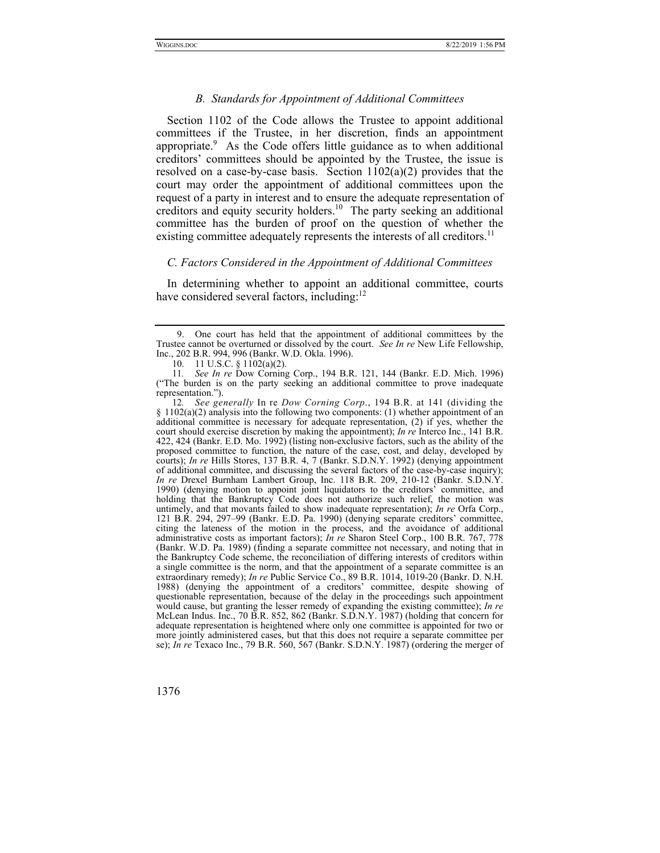#### *B. Standards for Appointment of Additional Committees*

Section 1102 of the Code allows the Trustee to appoint additional committees if the Trustee, in her discretion, finds an appointment appropriate.<sup>9</sup> As the Code offers little guidance as to when additional creditors' committees should be appointed by the Trustee, the issue is resolved on a case-by-case basis. Section  $1102(a)(2)$  provides that the court may order the appointment of additional committees upon the request of a party in interest and to ensure the adequate representation of creditors and equity security holders.10 The party seeking an additional committee has the burden of proof on the question of whether the existing committee adequately represents the interests of all creditors.<sup>11</sup>

## *C. Factors Considered in the Appointment of Additional Committees*

In determining whether to appoint an additional committee, courts have considered several factors, including: $^{12}$ 

 <sup>9.</sup> One court has held that the appointment of additional committees by the Trustee cannot be overturned or dissolved by the court. *See In re* New Life Fellowship, Inc., 202 B.R. 994, 996 (Bankr. W.D. Okla. 1996).

 <sup>10. 11</sup> U.S.C. § 1102(a)(2).

<sup>11</sup>*. See In re* Dow Corning Corp., 194 B.R. 121, 144 (Bankr. E.D. Mich. 1996) ("The burden is on the party seeking an additional committee to prove inadequate representation.").

<sup>12</sup>*. See generally* In re *Dow Corning Corp*., 194 B.R. at 141 (dividing the  $\S 1102(a)(2)$  analysis into the following two components: (1) whether appointment of an additional committee is necessary for adequate representation, (2) if yes, whether the court should exercise discretion by making the appointment); *In re* Interco Inc., 141 B.R. 422, 424 (Bankr. E.D. Mo. 1992) (listing non-exclusive factors, such as the ability of the proposed committee to function, the nature of the case, cost, and delay, developed by courts); *In re* Hills Stores, 137 B.R. 4, 7 (Bankr. S.D.N.Y. 1992) (denying appointment of additional committee, and discussing the several factors of the case-by-case inquiry); *In re* Drexel Burnham Lambert Group, Inc. 118 B.R. 209, 210-12 (Bankr. S.D.N.Y. 1990) (denying motion to appoint joint liquidators to the creditors' committee, and holding that the Bankruptcy Code does not authorize such relief, the motion was untimely, and that movants failed to show inadequate representation); *In re* Orfa Corp., 121 B.R. 294, 297–99 (Bankr. E.D. Pa. 1990) (denying separate creditors' committee, citing the lateness of the motion in the process, and the avoidance of additional administrative costs as important factors); *In re* Sharon Steel Corp., 100 B.R. 767, 778 (Bankr. W.D. Pa. 1989) (finding a separate committee not necessary, and noting that in the Bankruptcy Code scheme, the reconciliation of differing interests of creditors within a single committee is the norm, and that the appointment of a separate committee is an extraordinary remedy); *In re* Public Service Co., 89 B.R. 1014, 1019-20 (Bankr. D. N.H. 1988) (denying the appointment of a creditors' committee, despite showing of questionable representation, because of the delay in the proceedings such appointment would cause, but granting the lesser remedy of expanding the existing committee); *In re*  McLean Indus. Inc., 70 B.R. 852, 862 (Bankr. S.D.N.Y. 1987) (holding that concern for adequate representation is heightened where only one committee is appointed for two or more jointly administered cases, but that this does not require a separate committee per se); *In re* Texaco Inc., 79 B.R. 560, 567 (Bankr. S.D.N.Y. 1987) (ordering the merger of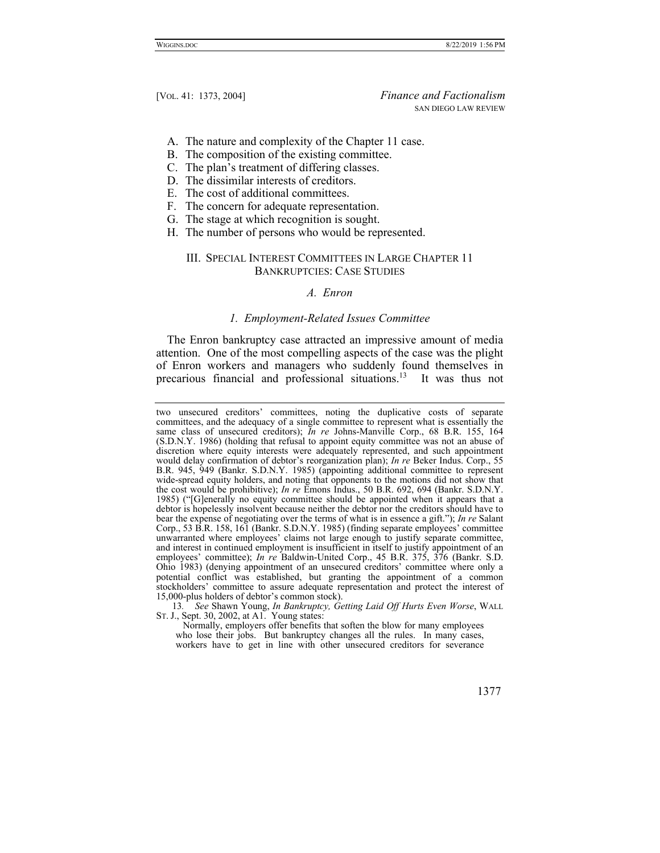- A. The nature and complexity of the Chapter 11 case.
- B. The composition of the existing committee.
- C. The plan's treatment of differing classes.
- D. The dissimilar interests of creditors.
- E. The cost of additional committees.
- F. The concern for adequate representation.
- G. The stage at which recognition is sought.
- H. The number of persons who would be represented.

## III. SPECIAL INTEREST COMMITTEES IN LARGE CHAPTER 11 BANKRUPTCIES: CASE STUDIES

#### *A. Enron*

#### *1. Employment-Related Issues Committee*

The Enron bankruptcy case attracted an impressive amount of media attention. One of the most compelling aspects of the case was the plight of Enron workers and managers who suddenly found themselves in precarious financial and professional situations.13 It was thus not

13*. See* Shawn Young, *In Bankruptcy, Getting Laid Off Hurts Even Worse*, WALL ST. J., Sept. 30, 2002, at A1. Young states:

Normally, employers offer benefits that soften the blow for many employees who lose their jobs. But bankruptcy changes all the rules. In many cases, workers have to get in line with other unsecured creditors for severance



two unsecured creditors' committees, noting the duplicative costs of separate committees, and the adequacy of a single committee to represent what is essentially the same class of unsecured creditors); *In re* Johns-Manville Corp., 68 B.R. 155, 164 (S.D.N.Y. 1986) (holding that refusal to appoint equity committee was not an abuse of discretion where equity interests were adequately represented, and such appointment would delay confirmation of debtor's reorganization plan); *In re* Beker Indus. Corp., 55 B.R. 945, 949 (Bankr. S.D.N.Y. 1985) (appointing additional committee to represent wide-spread equity holders, and noting that opponents to the motions did not show that the cost would be prohibitive); *In re* Emons Indus., 50 B.R. 692, 694 (Bankr. S.D.N.Y. 1985) ("[G]enerally no equity committee should be appointed when it appears that a debtor is hopelessly insolvent because neither the debtor nor the creditors should have to bear the expense of negotiating over the terms of what is in essence a gift."); *In re* Salant Corp., 53 B.R. 158, 161 (Bankr. S.D.N.Y. 1985) (finding separate employees' committee unwarranted where employees' claims not large enough to justify separate committee, and interest in continued employment is insufficient in itself to justify appointment of an employees' committee); *In re* Baldwin-United Corp., 45 B.R. 375, 376 (Bankr. S.D. Ohio 1983) (denying appointment of an unsecured creditors' committee where only a potential conflict was established, but granting the appointment of a common stockholders' committee to assure adequate representation and protect the interest of 15,000-plus holders of debtor's common stock).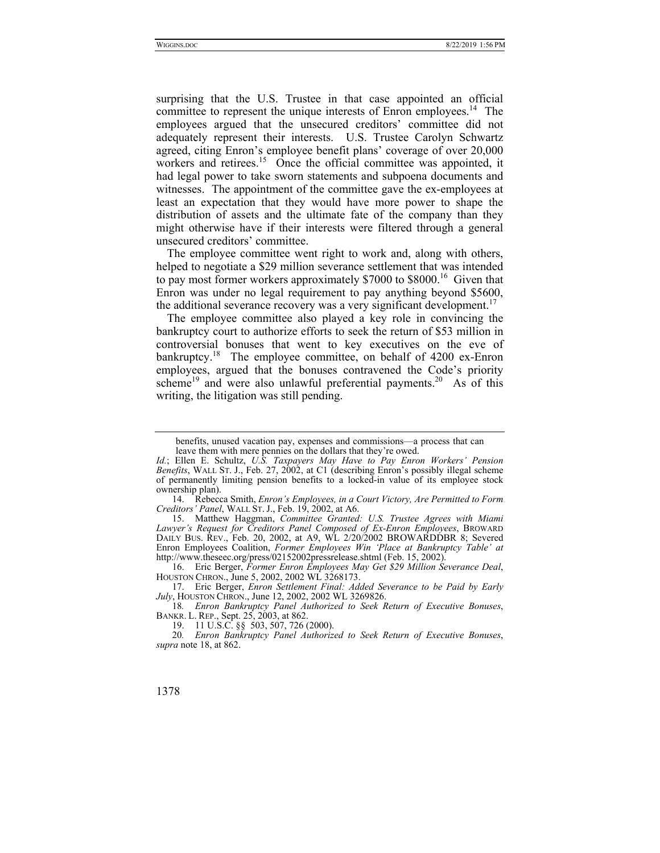surprising that the U.S. Trustee in that case appointed an official committee to represent the unique interests of Enron employees.<sup>14</sup> The employees argued that the unsecured creditors' committee did not adequately represent their interests. U.S. Trustee Carolyn Schwartz agreed, citing Enron's employee benefit plans' coverage of over 20,000 workers and retirees.<sup>15</sup> Once the official committee was appointed, it had legal power to take sworn statements and subpoena documents and witnesses. The appointment of the committee gave the ex-employees at least an expectation that they would have more power to shape the distribution of assets and the ultimate fate of the company than they might otherwise have if their interests were filtered through a general unsecured creditors' committee.

The employee committee went right to work and, along with others, helped to negotiate a \$29 million severance settlement that was intended to pay most former workers approximately \$7000 to \$8000.<sup>16</sup> Given that Enron was under no legal requirement to pay anything beyond \$5600, the additional severance recovery was a very significant development.<sup>17</sup>

The employee committee also played a key role in convincing the bankruptcy court to authorize efforts to seek the return of \$53 million in controversial bonuses that went to key executives on the eve of bankruptcy.<sup>18</sup> The employee committee, on behalf of 4200 ex-Enron employees, argued that the bonuses contravened the Code's priority scheme<sup>19</sup> and were also unlawful preferential payments.<sup>20</sup> As of this writing, the litigation was still pending.

 14. Rebecca Smith, *Enron's Employees, in a Court Victory, Are Permitted to Form Creditors' Panel*, WALL ST. J., Feb. 19, 2002, at A6.

 15. Matthew Haggman, *Committee Granted: U.S. Trustee Agrees with Miami Lawyer's Request for Creditors Panel Composed of Ex-Enron Employees*, BROWARD DAILY BUS. REV., Feb. 20, 2002, at A9, WL 2/20/2002 BROWARDDBR 8; Severed Enron Employees Coalition, *Former Employees Win 'Place at Bankruptcy Table' at*  http://www.theseec.org/press/02152002pressrelease.shtml (Feb. 15, 2002).

 16. Eric Berger, *Former Enron Employees May Get \$29 Million Severance Deal*, HOUSTON CHRON., June 5, 2002, 2002 WL 3268173.

 17. Eric Berger, *Enron Settlement Final: Added Severance to be Paid by Early July*, HOUSTON CHRON., June 12, 2002, 2002 WL 3269826.

18*. Enron Bankruptcy Panel Authorized to Seek Return of Executive Bonuses*, BANKR. L. REP., Sept. 25, 2003, at 862.

19. 11 U.S.C. §§ 503, 507, 726 (2000).

20*. Enron Bankruptcy Panel Authorized to Seek Return of Executive Bonuses*, *supra* note 18, at 862.

benefits, unused vacation pay, expenses and commissions—a process that can leave them with mere pennies on the dollars that they're owed.

*Id.*; Ellen E. Schultz, *U.S. Taxpayers May Have to Pay Enron Workers' Pension Benefits*, WALL ST. J., Feb. 27, 2002, at C1 (describing Enron's possibly illegal scheme of permanently limiting pension benefits to a locked-in value of its employee stock ownership plan).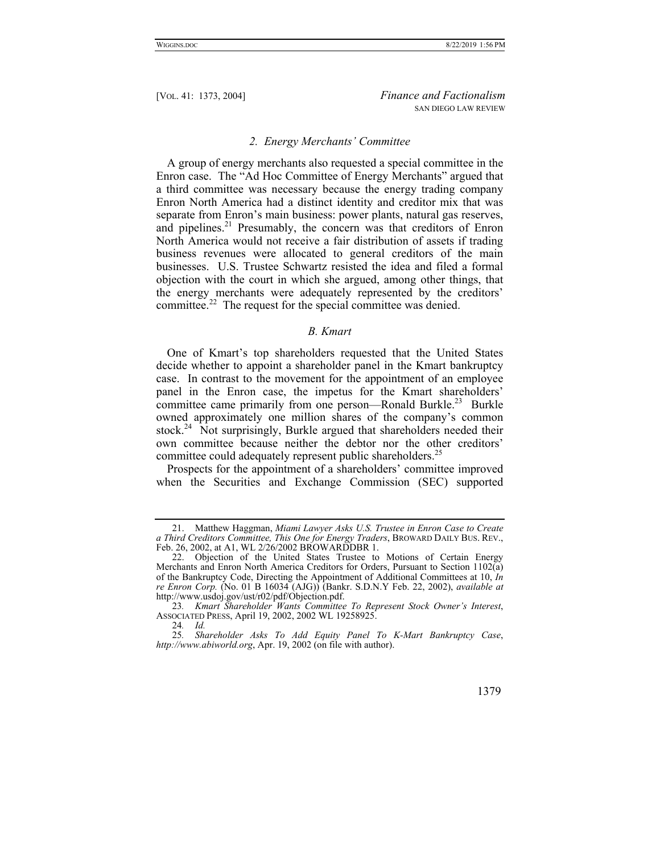#### *2. Energy Merchants' Committee*

A group of energy merchants also requested a special committee in the Enron case. The "Ad Hoc Committee of Energy Merchants" argued that a third committee was necessary because the energy trading company Enron North America had a distinct identity and creditor mix that was separate from Enron's main business: power plants, natural gas reserves, and pipelines.<sup>21</sup> Presumably, the concern was that creditors of Enron North America would not receive a fair distribution of assets if trading business revenues were allocated to general creditors of the main businesses. U.S. Trustee Schwartz resisted the idea and filed a formal objection with the court in which she argued, among other things, that the energy merchants were adequately represented by the creditors' committee.<sup>22</sup> The request for the special committee was denied.

## *B. Kmart*

One of Kmart's top shareholders requested that the United States decide whether to appoint a shareholder panel in the Kmart bankruptcy case. In contrast to the movement for the appointment of an employee panel in the Enron case, the impetus for the Kmart shareholders' committee came primarily from one person—Ronald Burkle.<sup>23</sup> Burkle owned approximately one million shares of the company's common stock.<sup>24</sup> Not surprisingly, Burkle argued that shareholders needed their own committee because neither the debtor nor the other creditors' committee could adequately represent public shareholders.<sup>25</sup>

Prospects for the appointment of a shareholders' committee improved when the Securities and Exchange Commission (SEC) supported

<sup>25</sup>*. Shareholder Asks To Add Equity Panel To K-Mart Bankruptcy Case*, *http://www.abiworld.org*, Apr. 19, 2002 (on file with author).



 <sup>21.</sup> Matthew Haggman, *Miami Lawyer Asks U.S. Trustee in Enron Case to Create a Third Creditors Committee, This One for Energy Traders*, BROWARD DAILY BUS. REV., Feb. 26, 2002, at A1, WL 2/26/2002 BROWARDDBR 1.

 <sup>22.</sup> Objection of the United States Trustee to Motions of Certain Energy Merchants and Enron North America Creditors for Orders, Pursuant to Section 1102(a) of the Bankruptcy Code, Directing the Appointment of Additional Committees at 10, *In re Enron Corp.* (No. 01 B 16034 (AJG)) (Bankr. S.D.N.Y Feb. 22, 2002), *available at*  http://www.usdoj.gov/ust/r02/pdf/Objection.pdf.

<sup>23</sup>*. Kmart Shareholder Wants Committee To Represent Stock Owner's Interest*, ASSOCIATED PRESS, April 19, 2002, 2002 WL 19258925.

<sup>24</sup>*. Id.*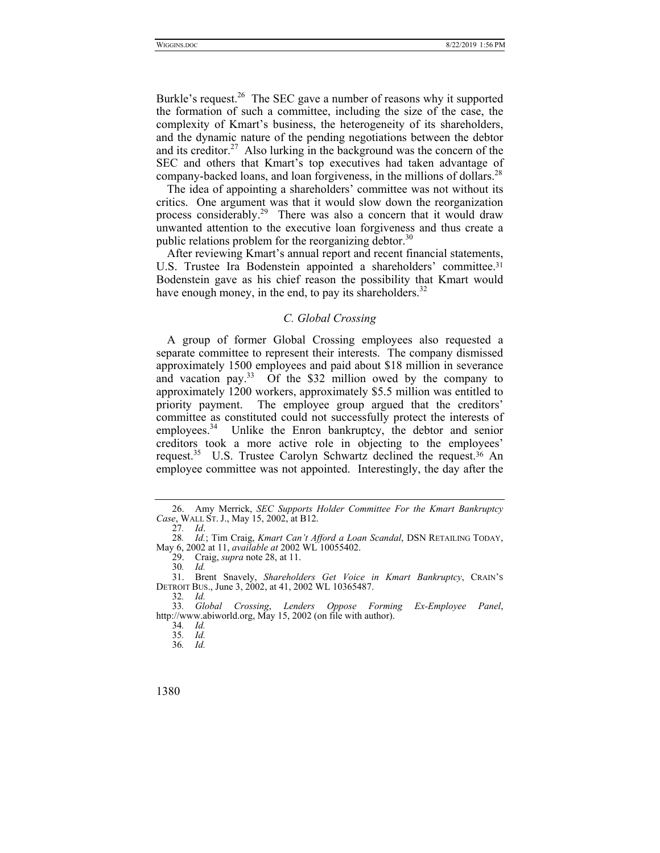Burkle's request.<sup>26</sup> The SEC gave a number of reasons why it supported the formation of such a committee, including the size of the case, the complexity of Kmart's business, the heterogeneity of its shareholders, and the dynamic nature of the pending negotiations between the debtor and its creditor.<sup>27</sup> Also lurking in the background was the concern of the SEC and others that Kmart's top executives had taken advantage of company-backed loans, and loan forgiveness, in the millions of dollars.<sup>28</sup>

The idea of appointing a shareholders' committee was not without its critics. One argument was that it would slow down the reorganization process considerably.<sup>29</sup> There was also a concern that it would draw unwanted attention to the executive loan forgiveness and thus create a public relations problem for the reorganizing debtor.<sup>30</sup>

After reviewing Kmart's annual report and recent financial statements, U.S. Trustee Ira Bodenstein appointed a shareholders' committee. 31 Bodenstein gave as his chief reason the possibility that Kmart would have enough money, in the end, to pay its shareholders.<sup>32</sup>

## *C. Global Crossing*

A group of former Global Crossing employees also requested a separate committee to represent their interests. The company dismissed approximately 1500 employees and paid about \$18 million in severance and vacation pay.<sup>33</sup> Of the \$32 million owed by the company to approximately 1200 workers, approximately \$5.5 million was entitled to priority payment. The employee group argued that the creditors' committee as constituted could not successfully protect the interests of employees.<sup>34</sup> Unlike the Enron bankruptcy, the debtor and senior creditors took a more active role in objecting to the employees' request.35 U.S. Trustee Carolyn Schwartz declined the request.36 An employee committee was not appointed. Interestingly, the day after the

 <sup>26.</sup> Amy Merrick, *SEC Supports Holder Committee For the Kmart Bankruptcy Case*, WALL ST. J., May 15, 2002, at B12.

<sup>27</sup>*. Id*.

<sup>28</sup>*. Id.*; Tim Craig, *Kmart Can't Afford a Loan Scandal*, DSN RETAILING TODAY, May 6, 2002 at 11, *available at* 2002 WL 10055402.

 <sup>29.</sup> Craig, *supra* note 28, at 11.

<sup>30</sup>*. Id.* 31. Brent Snavely, *Shareholders Get Voice in Kmart Bankruptcy*, CRAIN'S DETROIT BUS., June 3, 2002, at 41, 2002 WL 10365487.

<sup>32</sup>*. Id.*

<sup>33</sup>*. Global Crossing*, *Lenders Oppose Forming Ex-Employee Panel*, http://www.abiworld.org, May 15, 2002 (on file with author).

<sup>34</sup>*. Id.*

<sup>35</sup>*. Id.*

<sup>36</sup>*. Id.*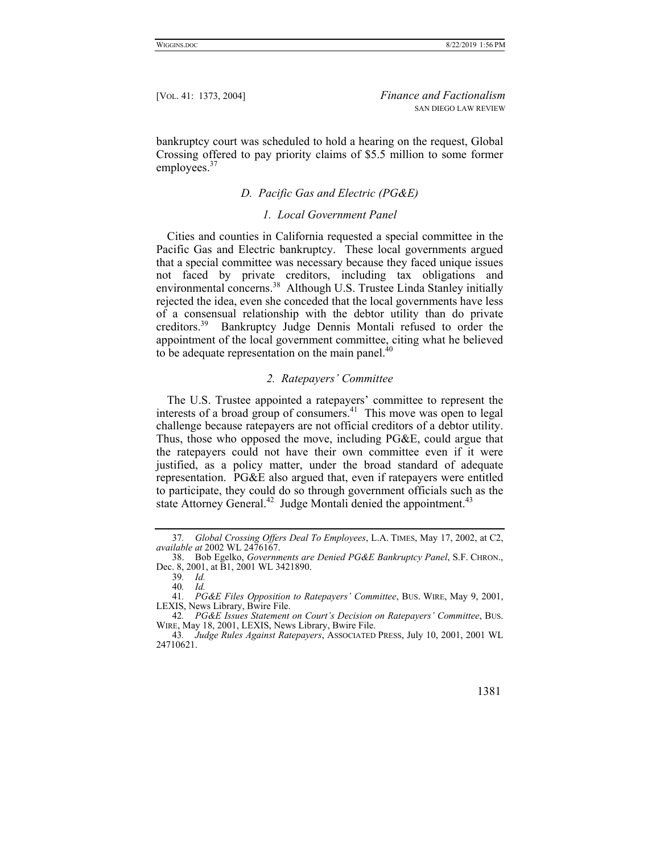bankruptcy court was scheduled to hold a hearing on the request, Global Crossing offered to pay priority claims of \$5.5 million to some former employees.<sup>37</sup>

## *D. Pacific Gas and Electric (PG&E)*

## *1. Local Government Panel*

Cities and counties in California requested a special committee in the Pacific Gas and Electric bankruptcy. These local governments argued that a special committee was necessary because they faced unique issues not faced by private creditors, including tax obligations and environmental concerns.<sup>38</sup> Although U.S. Trustee Linda Stanley initially rejected the idea, even she conceded that the local governments have less of a consensual relationship with the debtor utility than do private creditors.39 Bankruptcy Judge Dennis Montali refused to order the appointment of the local government committee, citing what he believed to be adequate representation on the main panel. $40$ 

## *2. Ratepayers' Committee*

The U.S. Trustee appointed a ratepayers' committee to represent the interests of a broad group of consumers.<sup>41</sup> This move was open to legal challenge because ratepayers are not official creditors of a debtor utility. Thus, those who opposed the move, including PG&E, could argue that the ratepayers could not have their own committee even if it were justified, as a policy matter, under the broad standard of adequate representation. PG&E also argued that, even if ratepayers were entitled to participate, they could do so through government officials such as the state Attorney General.<sup>42</sup> Judge Montali denied the appointment.<sup>43</sup>

<sup>43</sup>*. Judge Rules Against Ratepayers*, ASSOCIATED PRESS, July 10, 2001, 2001 WL 24710621.



<sup>37</sup>*. Global Crossing Offers Deal To Employees*, L.A. TIMES, May 17, 2002, at C2, *available at* 2002 WL 2476167.

 <sup>38.</sup> Bob Egelko, *Governments are Denied PG&E Bankruptcy Panel*, S.F. CHRON., Dec. 8, 2001, at B1, 2001 WL 3421890.

<sup>39</sup>*. Id.*

<sup>40</sup>*. Id.*

<sup>41</sup>*. PG&E Files Opposition to Ratepayers' Committee*, BUS. WIRE, May 9, 2001, LEXIS, News Library, Bwire File.

<sup>42</sup>*. PG&E Issues Statement on Court's Decision on Ratepayers' Committee*, BUS. WIRE, May 18, 2001, LEXIS, News Library, Bwire File.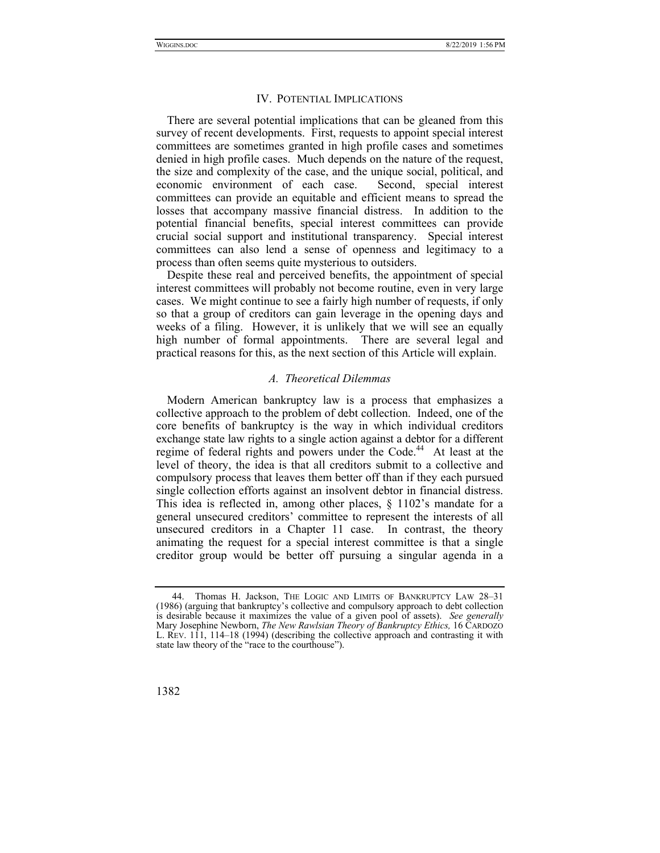#### IV. POTENTIAL IMPLICATIONS

There are several potential implications that can be gleaned from this survey of recent developments. First, requests to appoint special interest committees are sometimes granted in high profile cases and sometimes denied in high profile cases. Much depends on the nature of the request, the size and complexity of the case, and the unique social, political, and economic environment of each case. Second, special interest committees can provide an equitable and efficient means to spread the losses that accompany massive financial distress. In addition to the potential financial benefits, special interest committees can provide crucial social support and institutional transparency. Special interest committees can also lend a sense of openness and legitimacy to a process than often seems quite mysterious to outsiders.

Despite these real and perceived benefits, the appointment of special interest committees will probably not become routine, even in very large cases. We might continue to see a fairly high number of requests, if only so that a group of creditors can gain leverage in the opening days and weeks of a filing. However, it is unlikely that we will see an equally high number of formal appointments. There are several legal and practical reasons for this, as the next section of this Article will explain.

#### *A. Theoretical Dilemmas*

Modern American bankruptcy law is a process that emphasizes a collective approach to the problem of debt collection. Indeed, one of the core benefits of bankruptcy is the way in which individual creditors exchange state law rights to a single action against a debtor for a different regime of federal rights and powers under the Code.<sup>44</sup> At least at the level of theory, the idea is that all creditors submit to a collective and compulsory process that leaves them better off than if they each pursued single collection efforts against an insolvent debtor in financial distress. This idea is reflected in, among other places, § 1102's mandate for a general unsecured creditors' committee to represent the interests of all unsecured creditors in a Chapter 11 case. In contrast, the theory animating the request for a special interest committee is that a single creditor group would be better off pursuing a singular agenda in a

 <sup>44.</sup> Thomas H. Jackson, THE LOGIC AND LIMITS OF BANKRUPTCY LAW 28–31 (1986) (arguing that bankruptcy's collective and compulsory approach to debt collection is desirable because it maximizes the value of a given pool of assets). *See generally* Mary Josephine Newborn, *The New Rawlsian Theory of Bankruptcy Ethics,* 16 CARDOZO L. REV. 111, 114–18 (1994) (describing the collective approach and contrasting it with state law theory of the "race to the courthouse").

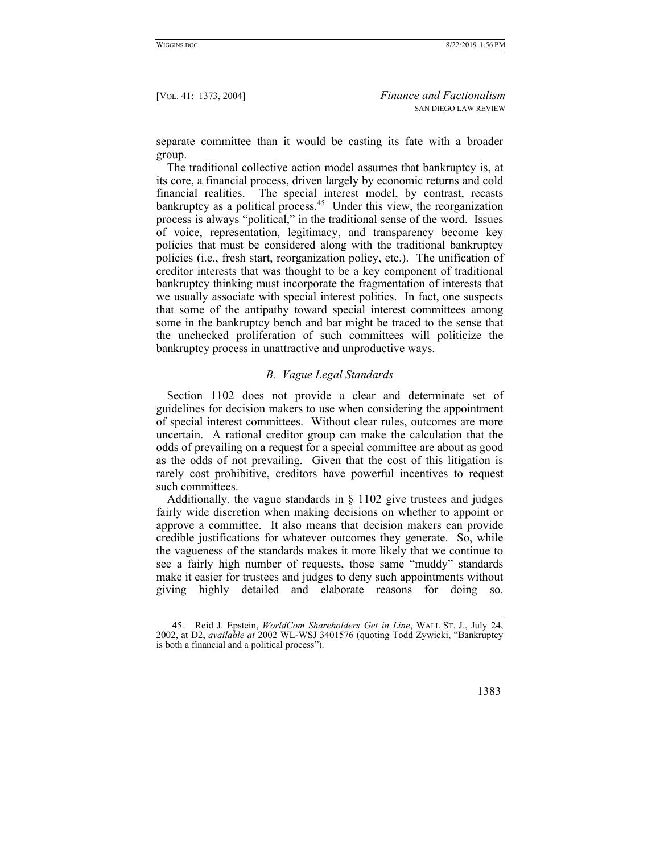separate committee than it would be casting its fate with a broader group.

The traditional collective action model assumes that bankruptcy is, at its core, a financial process, driven largely by economic returns and cold financial realities. The special interest model, by contrast, recasts bankruptcy as a political process. $45$  Under this view, the reorganization process is always "political," in the traditional sense of the word. Issues of voice, representation, legitimacy, and transparency become key policies that must be considered along with the traditional bankruptcy policies (i.e., fresh start, reorganization policy, etc.). The unification of creditor interests that was thought to be a key component of traditional bankruptcy thinking must incorporate the fragmentation of interests that we usually associate with special interest politics. In fact, one suspects that some of the antipathy toward special interest committees among some in the bankruptcy bench and bar might be traced to the sense that the unchecked proliferation of such committees will politicize the bankruptcy process in unattractive and unproductive ways.

# *B. Vague Legal Standards*

Section 1102 does not provide a clear and determinate set of guidelines for decision makers to use when considering the appointment of special interest committees. Without clear rules, outcomes are more uncertain. A rational creditor group can make the calculation that the odds of prevailing on a request for a special committee are about as good as the odds of not prevailing. Given that the cost of this litigation is rarely cost prohibitive, creditors have powerful incentives to request such committees.

Additionally, the vague standards in § 1102 give trustees and judges fairly wide discretion when making decisions on whether to appoint or approve a committee. It also means that decision makers can provide credible justifications for whatever outcomes they generate. So, while the vagueness of the standards makes it more likely that we continue to see a fairly high number of requests, those same "muddy" standards make it easier for trustees and judges to deny such appointments without giving highly detailed and elaborate reasons for doing so.

 <sup>45.</sup> Reid J. Epstein, *WorldCom Shareholders Get in Line*, WALL ST. J., July 24, 2002, at D2, *available at* 2002 WL-WSJ 3401576 (quoting Todd Zywicki, "Bankruptcy is both a financial and a political process").

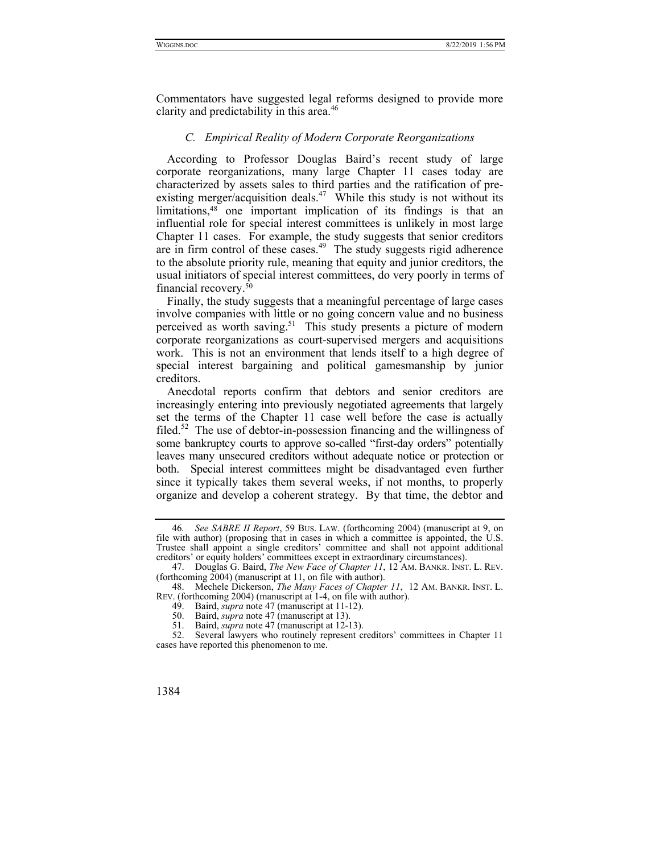Commentators have suggested legal reforms designed to provide more clarity and predictability in this area.<sup>46</sup>

#### *C. Empirical Reality of Modern Corporate Reorganizations*

According to Professor Douglas Baird's recent study of large corporate reorganizations, many large Chapter 11 cases today are characterized by assets sales to third parties and the ratification of preexisting merger/acquisition deals.<sup>47</sup> While this study is not without its limitations,48 one important implication of its findings is that an influential role for special interest committees is unlikely in most large Chapter 11 cases. For example, the study suggests that senior creditors are in firm control of these cases.<sup> $49$ </sup> The study suggests rigid adherence to the absolute priority rule, meaning that equity and junior creditors, the usual initiators of special interest committees, do very poorly in terms of financial recovery.50

Finally, the study suggests that a meaningful percentage of large cases involve companies with little or no going concern value and no business perceived as worth saving.<sup>51</sup> This study presents a picture of modern corporate reorganizations as court-supervised mergers and acquisitions work. This is not an environment that lends itself to a high degree of special interest bargaining and political gamesmanship by junior creditors.

Anecdotal reports confirm that debtors and senior creditors are increasingly entering into previously negotiated agreements that largely set the terms of the Chapter 11 case well before the case is actually filed.<sup>52</sup> The use of debtor-in-possession financing and the willingness of some bankruptcy courts to approve so-called "first-day orders" potentially leaves many unsecured creditors without adequate notice or protection or both. Special interest committees might be disadvantaged even further since it typically takes them several weeks, if not months, to properly organize and develop a coherent strategy. By that time, the debtor and

<sup>46</sup>*. See SABRE II Report*, 59 BUS. LAW. (forthcoming 2004) (manuscript at 9, on file with author) (proposing that in cases in which a committee is appointed, the U.S. Trustee shall appoint a single creditors' committee and shall not appoint additional creditors' or equity holders' committees except in extraordinary circumstances).

 <sup>47.</sup> Douglas G. Baird, *The New Face of Chapter 11*, 12 AM. BANKR. INST. L. REV. (forthcoming 2004) (manuscript at 11, on file with author).

 <sup>48.</sup> Mechele Dickerson, *The Many Faces of Chapter 11*, 12 AM. BANKR. INST. L. REV. (forthcoming 2004) (manuscript at 1-4, on file with author).

 <sup>49.</sup> Baird, *supra* note 47 (manuscript at 11-12).

 <sup>50.</sup> Baird, *supra* note 47 (manuscript at 13).

 <sup>51.</sup> Baird, *supra* note 47 (manuscript at 12-13).

 <sup>52.</sup> Several lawyers who routinely represent creditors' committees in Chapter 11 cases have reported this phenomenon to me.